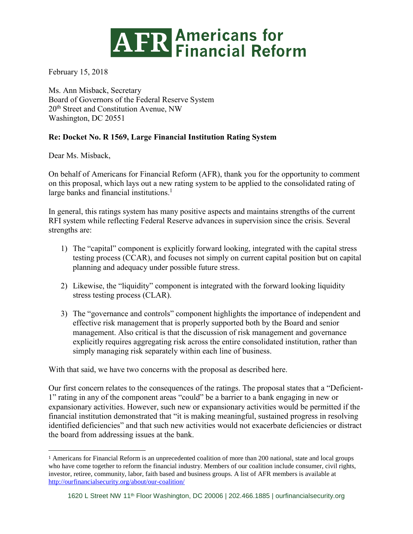## **ATR Americans for<br>
Financial Reform**

February 15, 2018

Ms. Ann Misback, Secretary Board of Governors of the Federal Reserve System 20<sup>th</sup> Street and Constitution Avenue, NW Washington, DC 20551

## **Re: Docket No. R 1569, Large Financial Institution Rating System**

Dear Ms. Misback,

 $\overline{a}$ 

On behalf of Americans for Financial Reform (AFR), thank you for the opportunity to comment on this proposal, which lays out a new rating system to be applied to the consolidated rating of large banks and financial institutions.<sup>1</sup>

In general, this ratings system has many positive aspects and maintains strengths of the current RFI system while reflecting Federal Reserve advances in supervision since the crisis. Several strengths are:

- 1) The "capital" component is explicitly forward looking, integrated with the capital stress testing process (CCAR), and focuses not simply on current capital position but on capital planning and adequacy under possible future stress.
- 2) Likewise, the "liquidity" component is integrated with the forward looking liquidity stress testing process (CLAR).
- 3) The "governance and controls" component highlights the importance of independent and effective risk management that is properly supported both by the Board and senior management. Also critical is that the discussion of risk management and governance explicitly requires aggregating risk across the entire consolidated institution, rather than simply managing risk separately within each line of business.

With that said, we have two concerns with the proposal as described here.

Our first concern relates to the consequences of the ratings. The proposal states that a "Deficient-1" rating in any of the component areas "could" be a barrier to a bank engaging in new or expansionary activities. However, such new or expansionary activities would be permitted if the financial institution demonstrated that "it is making meaningful, sustained progress in resolving identified deficiencies" and that such new activities would not exacerbate deficiencies or distract the board from addressing issues at the bank.

<sup>1</sup> Americans for Financial Reform is an unprecedented coalition of more than 200 national, state and local groups who have come together to reform the financial industry. Members of our coalition include consumer, civil rights, investor, retiree, community, labor, faith based and business groups. A list of AFR members is available at <http://ourfinancialsecurity.org/about/our-coalition/>